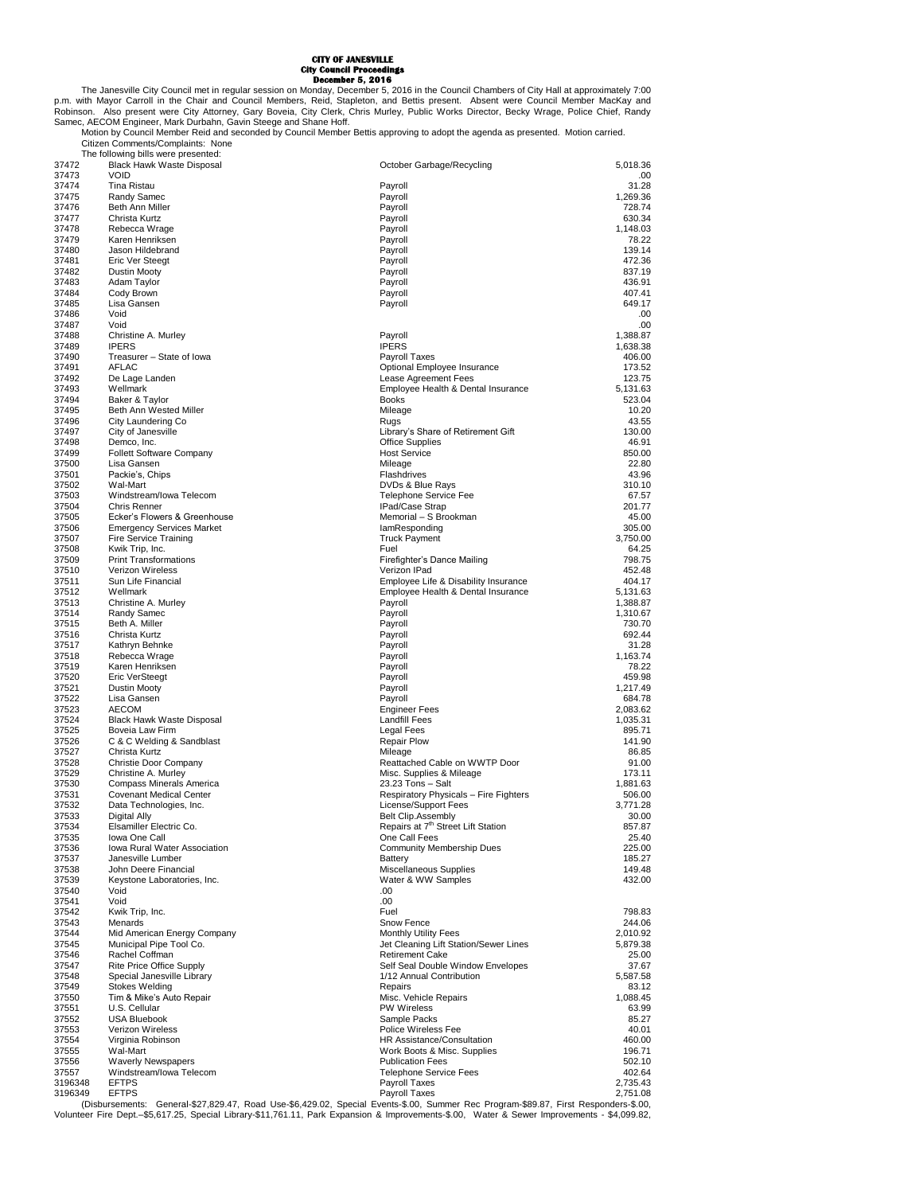## **CITY OF JANESVILLE City Council Proceedings December 5, 2016**

The Janesville City Council met in regular session on Monday, December 5, 2016 in the Council Chambers of City Hall at approximately 7:00<br>P.m. with Mayor Carroll in the Chair and Council Members, Reid, Stapleton, and Betti Samec, AECOM Engineer, Mark Durbahn, Gavin Steege and Shane Hoff. Motion by Council Member Reid and seconded by Council Member Bettis approving to adopt the agenda as presented. Motion carried.

|                | Citizen Comments/Complaints: None                                |                                                                                                                                             |                      |
|----------------|------------------------------------------------------------------|---------------------------------------------------------------------------------------------------------------------------------------------|----------------------|
| 37472          | The following bills were presented:<br>Black Hawk Waste Disposal | October Garbage/Recycling                                                                                                                   | 5.018.36             |
| 37473          | <b>VOID</b>                                                      |                                                                                                                                             | .00                  |
| 37474          | Tina Ristau                                                      | Payroll                                                                                                                                     | 31.28                |
| 37475          | Randy Samec                                                      | Payroll                                                                                                                                     | 1,269.36             |
| 37476          | Beth Ann Miller                                                  | Payroll                                                                                                                                     | 728.74               |
| 37477          | Christa Kurtz                                                    | Payroll                                                                                                                                     | 630.34               |
| 37478          | Rebecca Wrage                                                    | Payroll                                                                                                                                     | 1,148.03             |
| 37479          | Karen Henriksen                                                  | Payroll                                                                                                                                     | 78.22                |
| 37480          | Jason Hildebrand                                                 | Payroll                                                                                                                                     | 139.14               |
| 37481          | Eric Ver Steegt                                                  | Payroll                                                                                                                                     | 472.36               |
| 37482          | <b>Dustin Mooty</b>                                              | Payroll                                                                                                                                     | 837.19               |
| 37483          | Adam Taylor                                                      | Payroll                                                                                                                                     | 436.91<br>407.41     |
| 37484<br>37485 | Cody Brown<br>Lisa Gansen                                        | Payroll<br>Payroll                                                                                                                          | 649.17               |
| 37486          | Void                                                             |                                                                                                                                             | .00                  |
| 37487          | Void                                                             |                                                                                                                                             | .00                  |
| 37488          | Christine A. Murley                                              | Payroll                                                                                                                                     | 1,388.87             |
| 37489          | <b>IPERS</b>                                                     | <b>IPERS</b>                                                                                                                                | 1,638.38             |
| 37490          | Treasurer - State of Iowa                                        | Payroll Taxes                                                                                                                               | 406.00               |
| 37491          | AFLAC                                                            | Optional Employee Insurance                                                                                                                 | 173.52               |
| 37492          | De Lage Landen                                                   | Lease Agreement Fees                                                                                                                        | 123.75               |
| 37493          | Wellmark                                                         | Employee Health & Dental Insurance                                                                                                          | 5,131.63             |
| 37494          | Baker & Taylor                                                   | <b>Books</b>                                                                                                                                | 523.04               |
| 37495          | Beth Ann Wested Miller                                           | Mileage                                                                                                                                     | 10.20                |
| 37496          | City Laundering Co                                               | Rugs                                                                                                                                        | 43.55                |
| 37497          | City of Janesville                                               | Library's Share of Retirement Gift                                                                                                          | 130.00               |
| 37498          | Demco, Inc.                                                      | <b>Office Supplies</b>                                                                                                                      | 46.91                |
| 37499          | <b>Follett Software Company</b>                                  | <b>Host Service</b>                                                                                                                         | 850.00               |
| 37500          | Lisa Gansen                                                      | Mileage                                                                                                                                     | 22.80                |
| 37501          | Packie's, Chips                                                  | Flashdrives                                                                                                                                 | 43.96                |
| 37502          | Wal-Mart                                                         | DVDs & Blue Rays                                                                                                                            | 310.10               |
| 37503          | Windstream/Iowa Telecom                                          | <b>Telephone Service Fee</b>                                                                                                                | 67.57                |
| 37504          | <b>Chris Renner</b>                                              | IPad/Case Strap                                                                                                                             | 201.77               |
| 37505          | Ecker's Flowers & Greenhouse                                     | Memorial - S Brookman                                                                                                                       | 45.00                |
| 37506          | <b>Emergency Services Market</b>                                 | lamResponding                                                                                                                               | 305.00               |
| 37507          | <b>Fire Service Training</b>                                     | <b>Truck Payment</b>                                                                                                                        | 3,750.00             |
| 37508          | Kwik Trip, Inc.                                                  | Fuel                                                                                                                                        | 64.25                |
| 37509          | <b>Print Transformations</b>                                     | Firefighter's Dance Mailing                                                                                                                 | 798.75               |
| 37510          | Verizon Wireless                                                 | Verizon IPad                                                                                                                                | 452.48               |
| 37511          | Sun Life Financial                                               | Employee Life & Disability Insurance                                                                                                        | 404.17               |
| 37512          | Wellmark<br>Christine A. Murley                                  | Employee Health & Dental Insurance<br>Payroll                                                                                               | 5,131.63             |
| 37513<br>37514 | Randy Samec                                                      | Payroll                                                                                                                                     | 1,388.87<br>1,310.67 |
| 37515          | Beth A. Miller                                                   | Payroll                                                                                                                                     | 730.70               |
| 37516          | Christa Kurtz                                                    | Payroll                                                                                                                                     | 692.44               |
| 37517          | Kathryn Behnke                                                   | Payroll                                                                                                                                     | 31.28                |
| 37518          | Rebecca Wrage                                                    | Payroll                                                                                                                                     | 1,163.74             |
| 37519          | Karen Henriksen                                                  | Payroll                                                                                                                                     | 78.22                |
| 37520          | <b>Eric VerSteegt</b>                                            | Payroll                                                                                                                                     | 459.98               |
| 37521          | <b>Dustin Mooty</b>                                              | Payroll                                                                                                                                     | 1,217.49             |
| 37522          | Lisa Gansen                                                      | Payroll                                                                                                                                     | 684.78               |
| 37523          | <b>AECOM</b>                                                     | <b>Engineer Fees</b>                                                                                                                        | 2,083.62             |
| 37524          | Black Hawk Waste Disposal                                        | <b>Landfill Fees</b>                                                                                                                        | 1,035.31             |
| 37525          | Boveia Law Firm                                                  | Legal Fees                                                                                                                                  | 895.71               |
| 37526          | C & C Welding & Sandblast                                        | <b>Repair Plow</b>                                                                                                                          | 141.90               |
| 37527          | Christa Kurtz                                                    | Mileage                                                                                                                                     | 86.85                |
| 37528          | Christie Door Company                                            | Reattached Cable on WWTP Door                                                                                                               | 91.00                |
| 37529          | Christine A. Murley                                              | Misc. Supplies & Mileage                                                                                                                    | 173.11               |
| 37530          | Compass Minerals America                                         | 23.23 Tons - Salt                                                                                                                           | 1,881.63             |
| 37531          | <b>Covenant Medical Center</b>                                   | Respiratory Physicals - Fire Fighters                                                                                                       | 506.00               |
| 37532          | Data Technologies, Inc.                                          | License/Support Fees                                                                                                                        | 3,771.28             |
| 37533          | Digital Ally                                                     | <b>Belt Clip.Assembly</b>                                                                                                                   | 30.00                |
| 37534          | Elsamiller Electric Co.                                          | Repairs at 7 <sup>th</sup> Street Lift Station                                                                                              | 857.87               |
| 37535          | Iowa One Call                                                    | One Call Fees                                                                                                                               | 25.40                |
| 37536          | Iowa Rural Water Association                                     | <b>Community Membership Dues</b>                                                                                                            | 225.00               |
| 37537          | Janesville Lumber                                                | <b>Battery</b>                                                                                                                              | 185.27               |
| 37538<br>37539 | John Deere Financial<br>Keystone Laboratories, Inc.              | Miscellaneous Supplies<br>Water & WW Samples                                                                                                | 149.48<br>432.00     |
| 37540          | Void                                                             | .00                                                                                                                                         |                      |
| 37541          | Void                                                             | .00                                                                                                                                         |                      |
| 37542          | Kwik Trip, Inc.                                                  | Fuel                                                                                                                                        | 798.83               |
| 37543          | Menards                                                          | Snow Fence                                                                                                                                  | 244.06               |
| 37544          | Mid American Energy Company                                      | <b>Monthly Utility Fees</b>                                                                                                                 | 2,010.92             |
| 37545          | Municipal Pipe Tool Co.                                          | Jet Cleaning Lift Station/Sewer Lines                                                                                                       | 5,879.38             |
| 37546          | Rachel Coffman                                                   | <b>Retirement Cake</b>                                                                                                                      | 25.00                |
| 37547          | <b>Rite Price Office Supply</b>                                  | Self Seal Double Window Envelopes                                                                                                           | 37.67                |
| 37548          | Special Janesville Library                                       | 1/12 Annual Contribution                                                                                                                    | 5,587.58             |
| 37549          | <b>Stokes Welding</b>                                            | Repairs                                                                                                                                     | 83.12                |
| 37550          | Tim & Mike's Auto Repair                                         | Misc. Vehicle Repairs                                                                                                                       | 1,088.45             |
| 37551          | U.S. Cellular                                                    | <b>PW Wireless</b>                                                                                                                          | 63.99                |
| 37552          | <b>USA Bluebook</b>                                              | Sample Packs                                                                                                                                | 85.27                |
| 37553          | Verizon Wireless                                                 | Police Wireless Fee                                                                                                                         | 40.01                |
| 37554          | Virginia Robinson                                                | HR Assistance/Consultation                                                                                                                  | 460.00               |
| 37555          | Wal-Mart                                                         | Work Boots & Misc. Supplies                                                                                                                 | 196.71               |
| 37556          | <b>Waverly Newspapers</b>                                        | <b>Publication Fees</b>                                                                                                                     | 502.10               |
| 37557          | Windstream/lowa Telecom                                          | <b>Telephone Service Fees</b>                                                                                                               | 402.64               |
| 3196348        | <b>EFTPS</b>                                                     | Payroll Taxes                                                                                                                               | 2,735.43             |
| 3196349        | <b>EFTPS</b>                                                     | Payroll Taxes                                                                                                                               | 2,751.08             |
|                |                                                                  | (Disbursements: General-\$27,829.47, Road Use-\$6,429.02, Special Events-\$.00, Summer Rec Program-\$89.87, First Responders-\$.00,         |                      |
|                |                                                                  | Volunteer Fire Dept.–\$5,617.25, Special Library-\$11,761.11, Park Expansion & Improvements-\$.00, Water & Sewer Improvements - \$4,099.82, |                      |